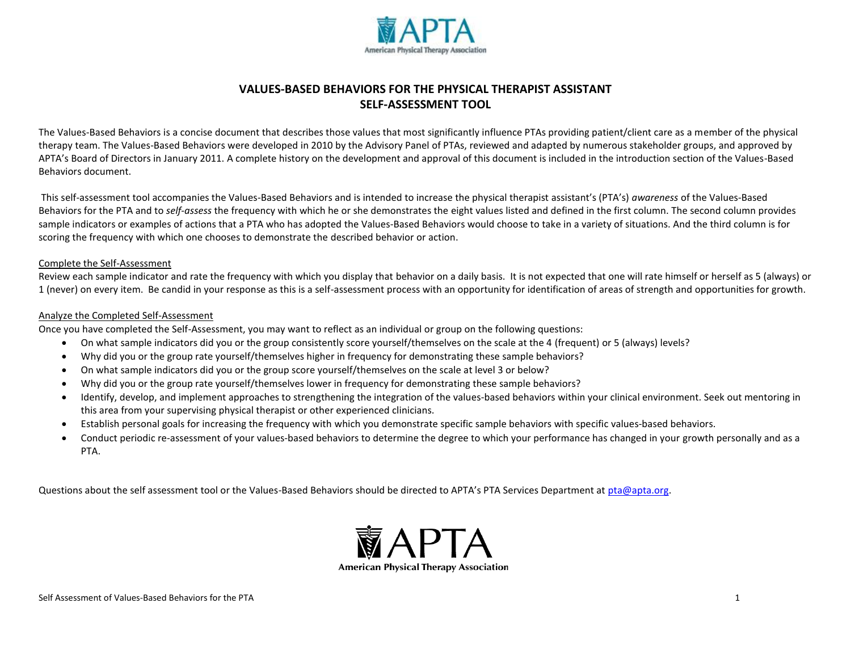

# **VALUES-BASED BEHAVIORS FOR THE PHYSICAL THERAPIST ASSISTANT SELF-ASSESSMENT TOOL**

The Values-Based Behaviors is a concise document that describes those values that most significantly influence PTAs providing patient/client care as a member of the physical therapy team. The Values-Based Behaviors were developed in 2010 by the Advisory Panel of PTAs, reviewed and adapted by numerous stakeholder groups, and approved by APTA's Board of Directors in January 2011. A complete history on the development and approval of this document is included in the introduction section of the Values-Based Behaviors document.

This self-assessment tool accompanies the Values-Based Behaviors and is intended to increase the physical therapist assistant's (PTA's) *awareness* of the Values-Based Behaviors for the PTA and to *self-assess* the frequency with which he or she demonstrates the eight values listed and defined in the first column. The second column provides sample indicators or examples of actions that a PTA who has adopted the Values-Based Behaviors would choose to take in a variety of situations. And the third column is for scoring the frequency with which one chooses to demonstrate the described behavior or action.

#### Complete the Self-Assessment

Review each sample indicator and rate the frequency with which you display that behavior on a daily basis. It is not expected that one will rate himself or herself as 5 (always) or 1 (never) on every item. Be candid in your response as this is a self-assessment process with an opportunity for identification of areas of strength and opportunities for growth.

#### Analyze the Completed Self-Assessment

Once you have completed the Self-Assessment, you may want to reflect as an individual or group on the following questions:

- On what sample indicators did you or the group consistently score yourself/themselves on the scale at the 4 (frequent) or 5 (always) levels?
- Why did you or the group rate yourself/themselves higher in frequency for demonstrating these sample behaviors?
- On what sample indicators did you or the group score yourself/themselves on the scale at level 3 or below?
- Why did you or the group rate yourself/themselves lower in frequency for demonstrating these sample behaviors?
- Identify, develop, and implement approaches to strengthening the integration of the values-based behaviors within your clinical environment. Seek out mentoring in this area from your supervising physical therapist or other experienced clinicians.
- Establish personal goals for increasing the frequency with which you demonstrate specific sample behaviors with specific values-based behaviors.
- Conduct periodic re-assessment of your values-based behaviors to determine the degree to which your performance has changed in your growth personally and as a PTA.

Questions about the self assessment tool or the Values-Based Behaviors should be directed to APTA's PTA Services Department at pta@apta.org.

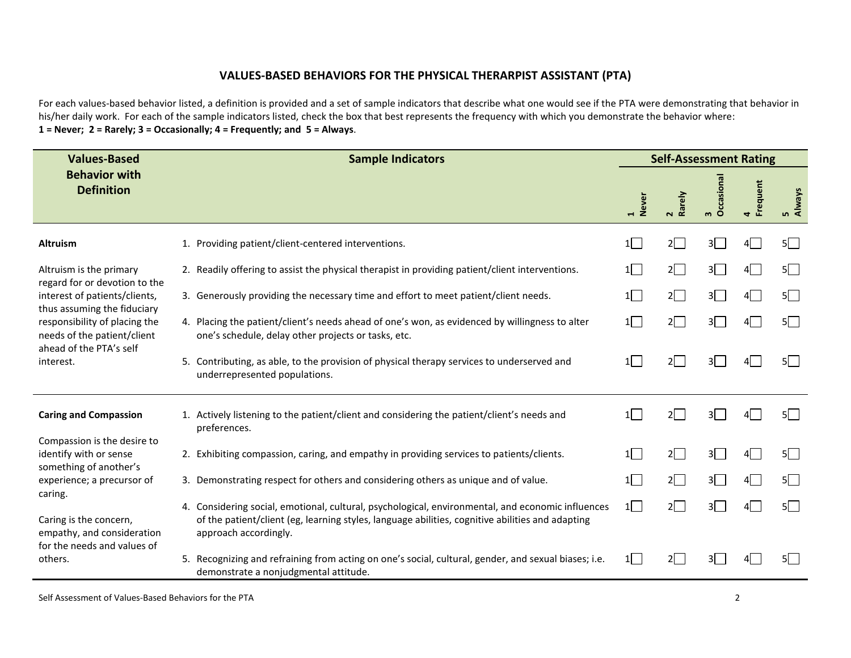## **VALUES-BASED BEHAVIORS FOR THE PHYSICAL THERARPIST ASSISTANT (PTA)**

For each values-based behavior listed, a definition is provided and a set of sample indicators that describe what one would see if the PTA were demonstrating that behavior in his/her daily work. For each of the sample indicators listed, check the box that best represents the frequency with which you demonstrate the behavior where: **1 = Never; 2 = Rarely; 3 = Occasionally; 4 = Frequently; and 5 = Always**.

| <b>Values-Based</b>                                                                                                    | <b>Sample Indicators</b>                                                                                                                                                                                                       | <b>Self-Assessment Rating</b> |                      |                           |          |              |  |
|------------------------------------------------------------------------------------------------------------------------|--------------------------------------------------------------------------------------------------------------------------------------------------------------------------------------------------------------------------------|-------------------------------|----------------------|---------------------------|----------|--------------|--|
| <b>Behavior with</b><br><b>Definition</b>                                                                              |                                                                                                                                                                                                                                | 1<br>Never                    | rely<br>$\mathbf{N}$ | Occasiona<br>$\mathbf{m}$ | quent    | Always<br>m. |  |
| <b>Altruism</b>                                                                                                        | 1. Providing patient/client-centered interventions.                                                                                                                                                                            | 1                             | $2\Box$              | 3 <sup>2</sup>            | $4 \mid$ | $5\Box$      |  |
| Altruism is the primary                                                                                                | 2. Readily offering to assist the physical therapist in providing patient/client interventions.                                                                                                                                | 1                             | $2\Box$              | 3                         | 4        | 5            |  |
| regard for or devotion to the<br>interest of patients/clients,                                                         | 3. Generously providing the necessary time and effort to meet patient/client needs.                                                                                                                                            | 1                             | $2\Box$              | 3 <sup>2</sup>            | 4        | $5\Box$      |  |
| thus assuming the fiduciary<br>responsibility of placing the<br>needs of the patient/client<br>ahead of the PTA's self | 4. Placing the patient/client's needs ahead of one's won, as evidenced by willingness to alter<br>one's schedule, delay other projects or tasks, etc.                                                                          | 1                             | $2\Box$              | 3 <sup>2</sup>            | 4 I      | $5\Box$      |  |
| interest.                                                                                                              | 5. Contributing, as able, to the provision of physical therapy services to underserved and<br>underrepresented populations.                                                                                                    | 1                             | $2\Box$              | $3^{\circ}$               |          | $5\sqrt{ }$  |  |
| <b>Caring and Compassion</b>                                                                                           | 1. Actively listening to the patient/client and considering the patient/client's needs and<br>preferences.                                                                                                                     | 1                             | $2\Box$              | $3^{\circ}$               | 41 I     | $5\Box$      |  |
| Compassion is the desire to<br>identify with or sense                                                                  | 2. Exhibiting compassion, caring, and empathy in providing services to patients/clients.                                                                                                                                       | 1                             | $2\Box$              | 3 <sup>1</sup>            | 4        | $5\Box$      |  |
| something of another's<br>experience; a precursor of                                                                   | 3. Demonstrating respect for others and considering others as unique and of value.                                                                                                                                             | $1\Box$                       | $2\Box$              | $3\Box$                   | 4        | $5\Box$      |  |
| caring.<br>Caring is the concern,<br>empathy, and consideration                                                        | 4. Considering social, emotional, cultural, psychological, environmental, and economic influences<br>of the patient/client (eg, learning styles, language abilities, cognitive abilities and adapting<br>approach accordingly. | $1\Box$                       | $2\square$           | $3^{\circ}$               | 4        | $5\Box$      |  |
| for the needs and values of<br>others.                                                                                 | 5. Recognizing and refraining from acting on one's social, cultural, gender, and sexual biases; i.e.<br>demonstrate a nonjudgmental attitude.                                                                                  | 1                             | $2\Box$              | 3 <sup>1</sup>            |          | 5            |  |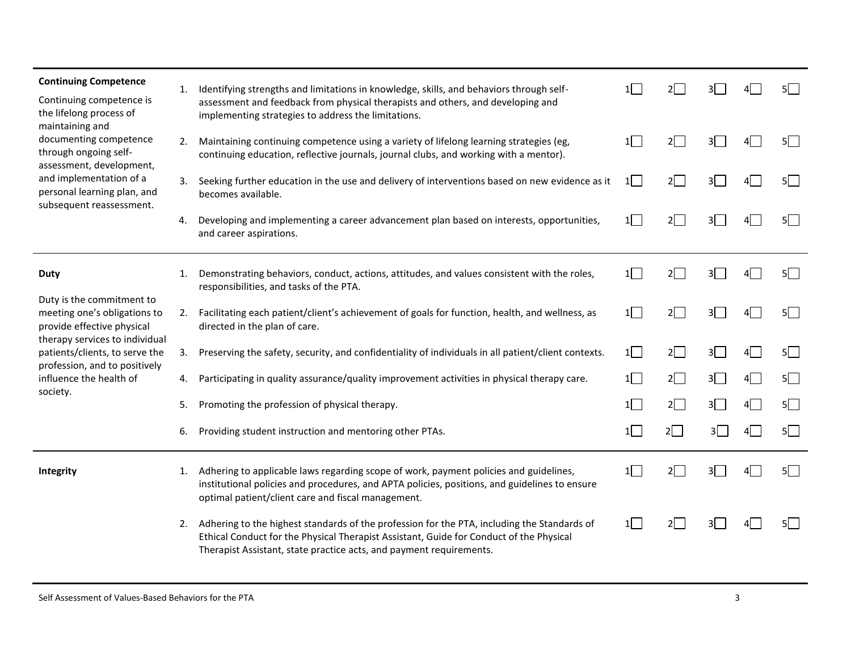| <b>Continuing Competence</b><br>Continuing competence is<br>the lifelong process of<br>maintaining and<br>documenting competence<br>through ongoing self-<br>assessment, development,<br>and implementation of a<br>personal learning plan, and<br>subsequent reassessment. | 1. | Identifying strengths and limitations in knowledge, skills, and behaviors through self-<br>assessment and feedback from physical therapists and others, and developing and<br>implementing strategies to address the limitations.                                | $1\sqrt{ }$ | 2           |                |   |             |
|-----------------------------------------------------------------------------------------------------------------------------------------------------------------------------------------------------------------------------------------------------------------------------|----|------------------------------------------------------------------------------------------------------------------------------------------------------------------------------------------------------------------------------------------------------------------|-------------|-------------|----------------|---|-------------|
|                                                                                                                                                                                                                                                                             | 2. | Maintaining continuing competence using a variety of lifelong learning strategies (eg,<br>continuing education, reflective journals, journal clubs, and working with a mentor).                                                                                  | 1           | $2\sqrt{ }$ | 3 <sup>1</sup> |   | $5\sqrt{ }$ |
|                                                                                                                                                                                                                                                                             | 3. | Seeking further education in the use and delivery of interventions based on new evidence as it<br>becomes available.                                                                                                                                             | $1\Box$     | $2\Box$     | 3 <sup>1</sup> |   | $5\sqrt{ }$ |
|                                                                                                                                                                                                                                                                             | 4. | Developing and implementing a career advancement plan based on interests, opportunities,<br>and career aspirations.                                                                                                                                              | 1           | $2\Box$     | $3^{\circ}$    |   | $5\sqrt{ }$ |
| <b>Duty</b>                                                                                                                                                                                                                                                                 | 1. | Demonstrating behaviors, conduct, actions, attitudes, and values consistent with the roles,<br>responsibilities, and tasks of the PTA.                                                                                                                           | $1\Box$     | $2\Box$     | 3 <sup>l</sup> |   | $5\sqrt{ }$ |
| Duty is the commitment to<br>meeting one's obligations to<br>provide effective physical                                                                                                                                                                                     | 2. | Facilitating each patient/client's achievement of goals for function, health, and wellness, as<br>directed in the plan of care.                                                                                                                                  | 1           | $2\Box$     | 3 <sup>2</sup> |   | $5\sqrt{ }$ |
| therapy services to individual<br>patients/clients, to serve the                                                                                                                                                                                                            | 3. | Preserving the safety, security, and confidentiality of individuals in all patient/client contexts.                                                                                                                                                              | $1\Box$     | $2\Box$     | $3\Box$        |   | $5\sqrt{ }$ |
| profession, and to positively<br>influence the health of<br>society.                                                                                                                                                                                                        | 4. | Participating in quality assurance/quality improvement activities in physical therapy care.                                                                                                                                                                      | $1\Box$     | $2\Box$     | 3 <sup>2</sup> | 4 | $5\Box$     |
|                                                                                                                                                                                                                                                                             | 5. | Promoting the profession of physical therapy.                                                                                                                                                                                                                    | $1\Box$     | $2\Box$     | 3 <sup>2</sup> | 4 | $5\Box$     |
|                                                                                                                                                                                                                                                                             | 6. | Providing student instruction and mentoring other PTAs.                                                                                                                                                                                                          | 1           | $2\Box$     | 3              | 4 | $5\Box$     |
| Integrity                                                                                                                                                                                                                                                                   |    | 1. Adhering to applicable laws regarding scope of work, payment policies and guidelines,<br>institutional policies and procedures, and APTA policies, positions, and guidelines to ensure<br>optimal patient/client care and fiscal management.                  | 1           | $2\sqrt{ }$ | 3 <sup>l</sup> |   | $5\sqrt{ }$ |
|                                                                                                                                                                                                                                                                             |    | 2. Adhering to the highest standards of the profession for the PTA, including the Standards of<br>Ethical Conduct for the Physical Therapist Assistant, Guide for Conduct of the Physical<br>Therapist Assistant, state practice acts, and payment requirements. | $1\Box$     | $2\sqrt{ }$ |                |   | 5           |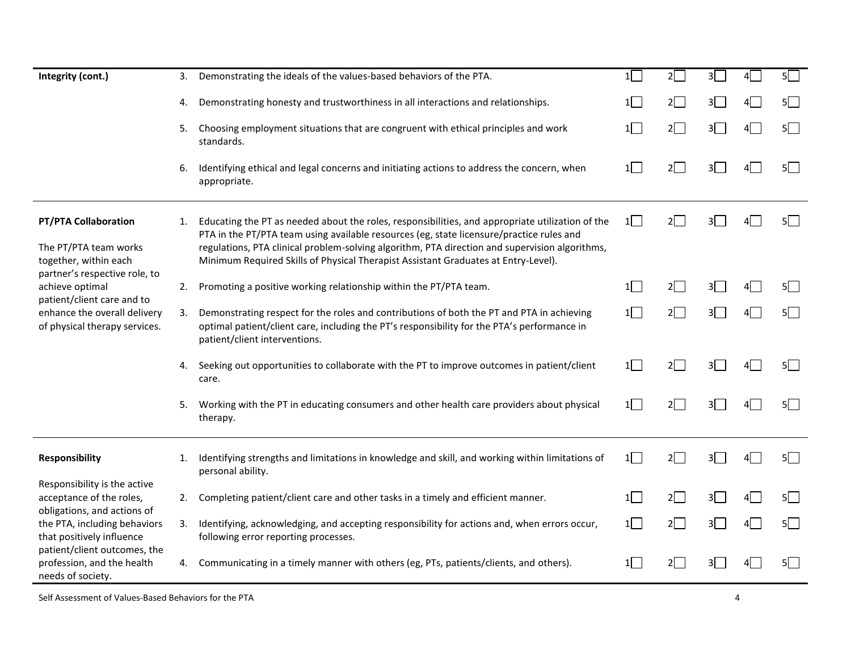| Integrity (cont.)                                                                                              | 3. | Demonstrating the ideals of the values-based behaviors of the PTA.                                                                                                                                                                                                                                                                                                                   | 1        | $2\Box$ | 3 <sup>2</sup>            | 41 | $5\Box$     |
|----------------------------------------------------------------------------------------------------------------|----|--------------------------------------------------------------------------------------------------------------------------------------------------------------------------------------------------------------------------------------------------------------------------------------------------------------------------------------------------------------------------------------|----------|---------|---------------------------|----|-------------|
|                                                                                                                | 4. | Demonstrating honesty and trustworthiness in all interactions and relationships.                                                                                                                                                                                                                                                                                                     | $1\vert$ | $2\Box$ | 3 <sup>2</sup>            | 4  | $5\Box$     |
|                                                                                                                | 5. | Choosing employment situations that are congruent with ethical principles and work<br>standards.                                                                                                                                                                                                                                                                                     | 1        | $2\Box$ | 3                         | 4  | $5\Box$     |
|                                                                                                                | 6. | Identifying ethical and legal concerns and initiating actions to address the concern, when<br>appropriate.                                                                                                                                                                                                                                                                           | 1        | $2\Box$ | 3 <sup>1</sup>            | 41 | $5\sqrt{ }$ |
| <b>PT/PTA Collaboration</b><br>The PT/PTA team works<br>together, within each<br>partner's respective role, to | 1. | Educating the PT as needed about the roles, responsibilities, and appropriate utilization of the<br>PTA in the PT/PTA team using available resources (eg, state licensure/practice rules and<br>regulations, PTA clinical problem-solving algorithm, PTA direction and supervision algorithms,<br>Minimum Required Skills of Physical Therapist Assistant Graduates at Entry-Level). | 1        | $2\Box$ | 3 <sup>7</sup>            | 4I | $5\Box$     |
| achieve optimal                                                                                                | 2. | Promoting a positive working relationship within the PT/PTA team.                                                                                                                                                                                                                                                                                                                    | $1\Box$  | $2\Box$ | 31                        |    | $5\Box$     |
| patient/client care and to<br>enhance the overall delivery<br>of physical therapy services.                    | 3. | Demonstrating respect for the roles and contributions of both the PT and PTA in achieving<br>optimal patient/client care, including the PT's responsibility for the PTA's performance in<br>patient/client interventions.                                                                                                                                                            | $1\Box$  | $2\Box$ | 3                         | 41 | $5\Box$     |
|                                                                                                                | 4. | Seeking out opportunities to collaborate with the PT to improve outcomes in patient/client<br>care.                                                                                                                                                                                                                                                                                  | 1        | $2\Box$ | 3 <sup>2</sup>            |    | 5           |
|                                                                                                                | 5. | Working with the PT in educating consumers and other health care providers about physical<br>therapy.                                                                                                                                                                                                                                                                                | 1        | $2\Box$ | 3 <sup>7</sup>            |    | 5           |
| <b>Responsibility</b>                                                                                          | 1. | Identifying strengths and limitations in knowledge and skill, and working within limitations of<br>personal ability.                                                                                                                                                                                                                                                                 | 1        | $2\Box$ | 3 <sup>2</sup>            |    | $5\Box$     |
| Responsibility is the active<br>acceptance of the roles,<br>obligations, and actions of                        | 2. | Completing patient/client care and other tasks in a timely and efficient manner.                                                                                                                                                                                                                                                                                                     | $1\Box$  | $2\Box$ | $3\overline{\phantom{0}}$ | 41 | $5\Box$     |
| the PTA, including behaviors<br>that positively influence                                                      | 3. | Identifying, acknowledging, and accepting responsibility for actions and, when errors occur,<br>following error reporting processes.                                                                                                                                                                                                                                                 | 1        | $2\Box$ | 3 <sup>2</sup>            | 4  | $5\Box$     |
| patient/client outcomes, the<br>profession, and the health<br>needs of society.                                | 4. | Communicating in a timely manner with others (eg, PTs, patients/clients, and others).                                                                                                                                                                                                                                                                                                | 1        | 21      |                           |    | $5\Box$     |

Self Assessment of Values-Based Behaviors for the PTA 4 and 2008 and 2008 and 2008 and 2008 and 2008 and 2008 and 2008 and 2008 and 2008 and 2008 and 2008 and 2008 and 2008 and 2008 and 2008 and 2008 and 2008 and 2008 and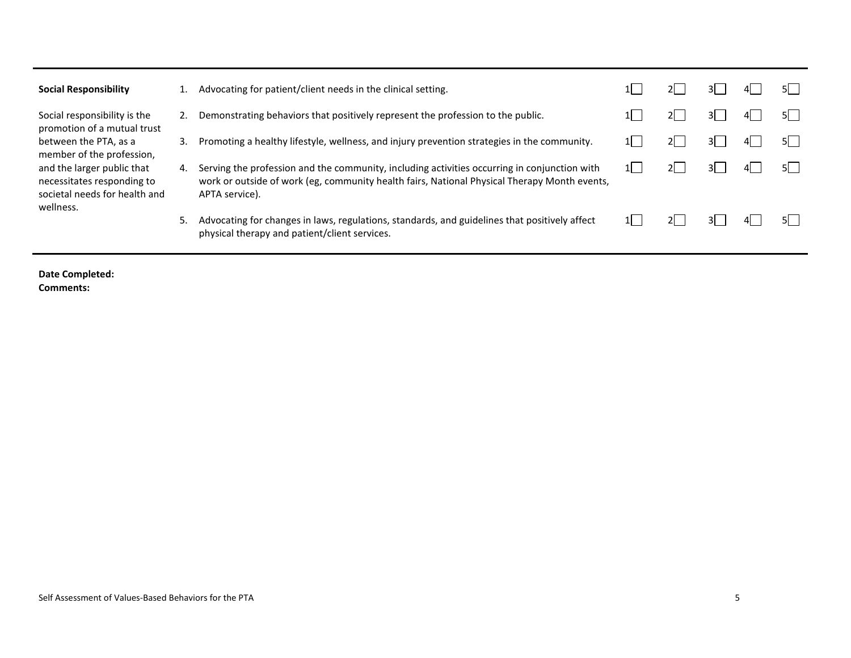| Social Responsibility                                                                                                                                        |    | Advocating for patient/client needs in the clinical setting.                                                                                                                                                   |    |  |       |
|--------------------------------------------------------------------------------------------------------------------------------------------------------------|----|----------------------------------------------------------------------------------------------------------------------------------------------------------------------------------------------------------------|----|--|-------|
| Social responsibility is the<br>promotion of a mutual trust                                                                                                  |    | Demonstrating behaviors that positively represent the profession to the public.                                                                                                                                |    |  | .51 - |
| between the PTA, as a<br>member of the profession,<br>and the larger public that<br>necessitates responding to<br>societal needs for health and<br>wellness. | 3. | Promoting a healthy lifestyle, wellness, and injury prevention strategies in the community.                                                                                                                    |    |  |       |
|                                                                                                                                                              | 4. | Serving the profession and the community, including activities occurring in conjunction with<br>work or outside of work (eg, community health fairs, National Physical Therapy Month events,<br>APTA service). | 11 |  | 5I.   |
|                                                                                                                                                              | 5. | Advocating for changes in laws, regulations, standards, and guidelines that positively affect<br>physical therapy and patient/client services.                                                                 |    |  |       |

**Date Completed: Comments:**